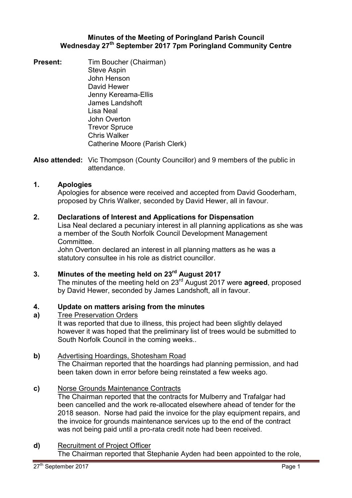## **Minutes of the Meeting of Poringland Parish Council Wednesday 27th September 2017 7pm Poringland Community Centre**

- **Present:** Tim Boucher (Chairman) Steve Aspin John Henson David Hewer Jenny Kereama-Ellis James Landshoft Lisa Neal John Overton Trevor Spruce Chris Walker Catherine Moore (Parish Clerk)
- **Also attended:** Vic Thompson (County Councillor) and 9 members of the public in attendance.

## **1. Apologies**

Apologies for absence were received and accepted from David Gooderham, proposed by Chris Walker, seconded by David Hewer, all in favour.

## **2. Declarations of Interest and Applications for Dispensation**

Lisa Neal declared a pecuniary interest in all planning applications as she was a member of the South Norfolk Council Development Management Committee.

John Overton declared an interest in all planning matters as he was a statutory consultee in his role as district councillor.

**3. Minutes of the meeting held on 23rd August 2017**

The minutes of the meeting held on 23rd August 2017 were **agreed**, proposed by David Hewer, seconded by James Landshoft, all in favour.

#### **4. Update on matters arising from the minutes**

#### **a)**  Tree Preservation Orders

It was reported that due to illness, this project had been slightly delayed however it was hoped that the preliminary list of trees would be submitted to South Norfolk Council in the coming weeks..

### **b)** Advertising Hoardings, Shotesham Road

The Chairman reported that the hoardings had planning permission, and had been taken down in error before being reinstated a few weeks ago.

### **c)** Norse Grounds Maintenance Contracts

The Chairman reported that the contracts for Mulberry and Trafalgar had been cancelled and the work re-allocated elsewhere ahead of tender for the 2018 season. Norse had paid the invoice for the play equipment repairs, and the invoice for grounds maintenance services up to the end of the contract was not being paid until a pro-rata credit note had been received.

### **d)** Recruitment of Project Officer

The Chairman reported that Stephanie Ayden had been appointed to the role,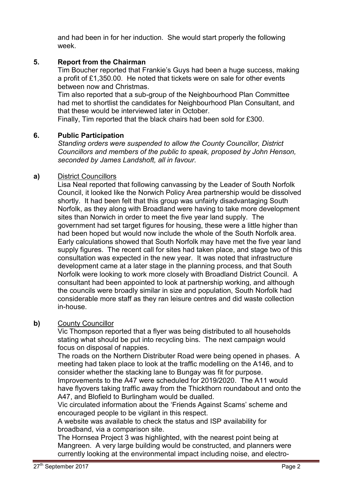and had been in for her induction. She would start properly the following week.

# **5. Report from the Chairman**

Tim Boucher reported that Frankie's Guys had been a huge success, making a profit of £1,350.00. He noted that tickets were on sale for other events between now and Christmas.

Tim also reported that a sub-group of the Neighbourhood Plan Committee had met to shortlist the candidates for Neighbourhood Plan Consultant, and that these would be interviewed later in October.

Finally, Tim reported that the black chairs had been sold for £300.

# **6. Public Participation**

*Standing orders were suspended to allow the County Councillor, District Councillors and members of the public to speak, proposed by John Henson, seconded by James Landshoft, all in favour.* 

# **a)** District Councillors

Lisa Neal reported that following canvassing by the Leader of South Norfolk Council, it looked like the Norwich Policy Area partnership would be dissolved shortly. It had been felt that this group was unfairly disadvantaging South Norfolk, as they along with Broadland were having to take more development sites than Norwich in order to meet the five year land supply. The government had set target figures for housing, these were a little higher than had been hoped but would now include the whole of the South Norfolk area. Early calculations showed that South Norfolk may have met the five year land supply figures. The recent call for sites had taken place, and stage two of this consultation was expected in the new year. It was noted that infrastructure development came at a later stage in the planning process, and that South Norfolk were looking to work more closely with Broadland District Council. A consultant had been appointed to look at partnership working, and although the councils were broadly similar in size and population, South Norfolk had considerable more staff as they ran leisure centres and did waste collection in-house.

# **b)** County Councillor

Vic Thompson reported that a flyer was being distributed to all households stating what should be put into recycling bins. The next campaign would focus on disposal of nappies.

The roads on the Northern Distributer Road were being opened in phases. A meeting had taken place to look at the traffic modelling on the A146, and to consider whether the stacking lane to Bungay was fit for purpose. Improvements to the A47 were scheduled for 2019/2020. The A11 would

have flyovers taking traffic away from the Thickthorn roundabout and onto the A47, and Blofield to Burlingham would be dualled.

Vic circulated information about the 'Friends Against Scams' scheme and encouraged people to be vigilant in this respect.

A website was available to check the status and ISP availability for broadband, via a comparison site.

The Hornsea Project 3 was highlighted, with the nearest point being at Mangreen. A very large building would be constructed, and planners were currently looking at the environmental impact including noise, and electro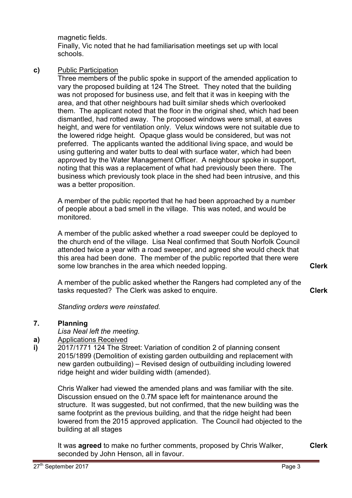magnetic fields.

Finally, Vic noted that he had familiarisation meetings set up with local schools.

## **c)** Public Participation

Three members of the public spoke in support of the amended application to vary the proposed building at 124 The Street. They noted that the building was not proposed for business use, and felt that it was in keeping with the area, and that other neighbours had built similar sheds which overlooked them. The applicant noted that the floor in the original shed, which had been dismantled, had rotted away. The proposed windows were small, at eaves height, and were for ventilation only. Velux windows were not suitable due to the lowered ridge height. Opaque glass would be considered, but was not preferred. The applicants wanted the additional living space, and would be using guttering and water butts to deal with surface water, which had been approved by the Water Management Officer. A neighbour spoke in support, noting that this was a replacement of what had previously been there. The business which previously took place in the shed had been intrusive, and this was a better proposition.

A member of the public reported that he had been approached by a number of people about a bad smell in the village. This was noted, and would be monitored.

A member of the public asked whether a road sweeper could be deployed to the church end of the village. Lisa Neal confirmed that South Norfolk Council attended twice a year with a road sweeper, and agreed she would check that this area had been done. The member of the public reported that there were some low branches in the area which needed lopping.

A member of the public asked whether the Rangers had completed any of the tasks requested? The Clerk was asked to enquire.

*Standing orders were reinstated.* 

#### **7. Planning**

*Lisa Neal left the meeting.* 

#### **a)**  Applications Received

**i)**  2017/1771 124 The Street: Variation of condition 2 of planning consent 2015/1899 (Demolition of existing garden outbuilding and replacement with new garden outbuilding) – Revised design of outbuilding including lowered ridge height and wider building width (amended).

Chris Walker had viewed the amended plans and was familiar with the site. Discussion ensued on the 0.7M space left for maintenance around the structure. It was suggested, but not confirmed, that the new building was the same footprint as the previous building, and that the ridge height had been lowered from the 2015 approved application. The Council had objected to the building at all stages

It was **agreed** to make no further comments, proposed by Chris Walker, seconded by John Henson, all in favour.

**Clerk**

**Clerk**

**Clerk**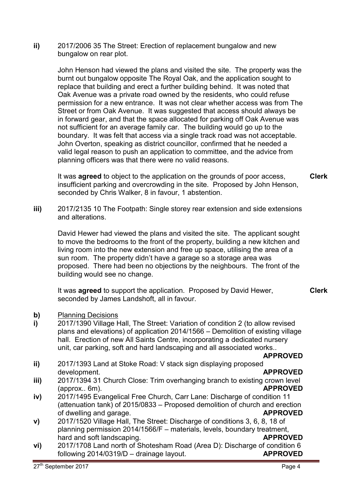**ii)** 2017/2006 35 The Street: Erection of replacement bungalow and new bungalow on rear plot.

> John Henson had viewed the plans and visited the site. The property was the burnt out bungalow opposite The Royal Oak, and the application sought to replace that building and erect a further building behind. It was noted that Oak Avenue was a private road owned by the residents, who could refuse permission for a new entrance. It was not clear whether access was from The Street or from Oak Avenue. It was suggested that access should always be in forward gear, and that the space allocated for parking off Oak Avenue was not sufficient for an average family car. The building would go up to the boundary. It was felt that access via a single track road was not acceptable. John Overton, speaking as district councillor, confirmed that he needed a valid legal reason to push an application to committee, and the advice from planning officers was that there were no valid reasons.

It was **agreed** to object to the application on the grounds of poor access, insufficient parking and overcrowding in the site. Proposed by John Henson, seconded by Chris Walker, 8 in favour, 1 abstention.

**iii)** 2017/2135 10 The Footpath: Single storey rear extension and side extensions and alterations.

David Hewer had viewed the plans and visited the site. The applicant sought to move the bedrooms to the front of the property, building a new kitchen and living room into the new extension and free up space, utilising the area of a sun room. The property didn't have a garage so a storage area was proposed. There had been no objections by the neighbours. The front of the building would see no change.

It was **agreed** to support the application. Proposed by David Hewer, seconded by James Landshoft, all in favour.

- **b)** Planning Decisions
- **i)**  2017/1390 Village Hall, The Street: Variation of condition 2 (to allow revised plans and elevations) of application 2014/1566 – Demolition of existing village hall. Erection of new All Saints Centre, incorporating a dedicated nursery unit, car parking, soft and hard landscaping and all associated works..

**APPROVED**

- **ii)**  2017/1393 Land at Stoke Road: V stack sign displaying proposed development. **APPROVED**
- **iii)**  2017/1394 31 Church Close: Trim overhanging branch to existing crown level (approx.. 6m). **APPROVED**
- **iv)**  2017/1495 Evangelical Free Church, Carr Lane: Discharge of condition 11 (attenuation tank) of 2015/0833 – Proposed demolition of church and erection<br>of dwelling and garage. of dwelling and garage.
- **v)**  2017/1520 Village Hall, The Street: Discharge of conditions 3, 6, 8, 18 of planning permission 2014/1566/F – materials, levels, boundary treatment, hard and soft landscaping. **APPROVED**
- **vi)**  2017/1708 Land north of Shotesham Road (Area D): Discharge of condition 6 following 2014/0319/D – drainage layout. **APPROVED**

**Clerk**

**Clerk**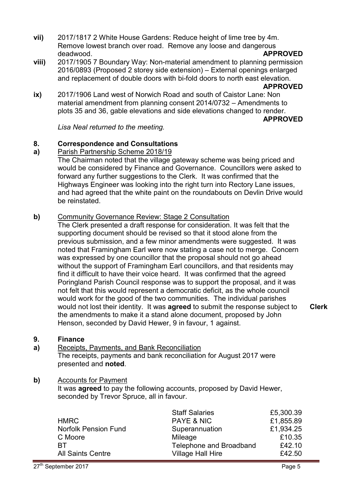- **vii)** 2017/1817 2 White House Gardens: Reduce height of lime tree by 4m. Remove lowest branch over road. Remove any loose and dangerous deadwood. **APPROVED**
- **viii)**  2017/1905 7 Boundary Way: Non-material amendment to planning permission 2016/0893 (Proposed 2 storey side extension) – External openings enlarged and replacement of double doors with bi-fold doors to north east elevation.

### **APPROVED**

**ix)**  2017/1906 Land west of Norwich Road and south of Caistor Lane: Non material amendment from planning consent 2014/0732 – Amendments to plots 35 and 36, gable elevations and side elevations changed to render. **APPROVED**

*Lisa Neal returned to the meeting.* 

#### **8. Correspondence and Consultations**

#### **a)**  Parish Partnership Scheme 2018/19

The Chairman noted that the village gateway scheme was being priced and would be considered by Finance and Governance. Councillors were asked to forward any further suggestions to the Clerk. It was confirmed that the Highways Engineer was looking into the right turn into Rectory Lane issues, and had agreed that the white paint on the roundabouts on Devlin Drive would be reinstated.

### **b)** Community Governance Review: Stage 2 Consultation

The Clerk presented a draft response for consideration. It was felt that the supporting document should be revised so that it stood alone from the previous submission, and a few minor amendments were suggested. It was noted that Framingham Earl were now stating a case not to merge. Concern was expressed by one councillor that the proposal should not go ahead without the support of Framingham Earl councillors, and that residents may find it difficult to have their voice heard. It was confirmed that the agreed Poringland Parish Council response was to support the proposal, and it was not felt that this would represent a democratic deficit, as the whole council would work for the good of the two communities. The individual parishes would not lost their identity. It was **agreed** to submit the response subject to the amendments to make it a stand alone document, proposed by John Henson, seconded by David Hewer, 9 in favour, 1 against.

#### **9. Finance**

**a)**  Receipts, Payments, and Bank Reconciliation The receipts, payments and bank reconciliation for August 2017 were presented and **noted**.

### **b)** Accounts for Payment

It was **agreed** to pay the following accounts, proposed by David Hewer, seconded by Trevor Spruce, all in favour.

|                             | <b>Staff Salaries</b>    | £5,300.39 |
|-----------------------------|--------------------------|-----------|
| <b>HMRC</b>                 | <b>PAYE &amp; NIC</b>    | £1,855.89 |
| <b>Norfolk Pension Fund</b> | Superannuation           | £1,934.25 |
| C Moore                     | Mileage                  | £10.35    |
| RТ                          | Telephone and Broadband  | £42.10    |
| <b>All Saints Centre</b>    | <b>Village Hall Hire</b> | £42.50    |

**Clerk**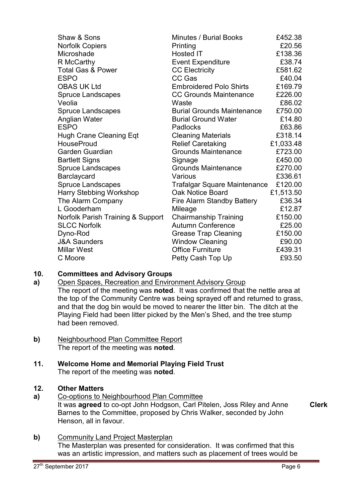| Shaw & Sons                       | <b>Minutes / Burial Books</b>       | £452.38   |
|-----------------------------------|-------------------------------------|-----------|
| <b>Norfolk Copiers</b>            | Printing                            | £20.56    |
| Microshade                        | Hosted IT                           | £138.36   |
| R McCarthy                        | <b>Event Expenditure</b>            | £38.74    |
| <b>Total Gas &amp; Power</b>      | <b>CC Electricity</b>               | £581.62   |
| <b>ESPO</b>                       | CC Gas                              | £40.04    |
| <b>OBAS UK Ltd</b>                | <b>Embroidered Polo Shirts</b>      | £169.79   |
| <b>Spruce Landscapes</b>          | <b>CC Grounds Maintenance</b>       | £226.00   |
| Veolia                            | Waste                               | £86.02    |
| <b>Spruce Landscapes</b>          | <b>Burial Grounds Maintenance</b>   | £750.00   |
| Anglian Water                     | <b>Burial Ground Water</b>          | £14.80    |
| <b>ESPO</b>                       | Padlocks                            | £63.86    |
| <b>Hugh Crane Cleaning Eqt</b>    | <b>Cleaning Materials</b>           | £318.14   |
| <b>HouseProud</b>                 | <b>Relief Caretaking</b>            | £1,033.48 |
| Garden Guardian                   | <b>Grounds Maintenance</b>          | £723.00   |
| <b>Bartlett Signs</b>             | Signage                             | £450.00   |
| <b>Spruce Landscapes</b>          | <b>Grounds Maintenance</b>          | £270.00   |
| Barclaycard                       | Various                             | £336.61   |
| <b>Spruce Landscapes</b>          | <b>Trafalgar Square Maintenance</b> | £120.00   |
| Harry Stebbing Workshop           | Oak Notice Board                    | £1,513.50 |
| The Alarm Company                 | <b>Fire Alarm Standby Battery</b>   | £36.34    |
| L Gooderham                       | Mileage                             | £12.87    |
| Norfolk Parish Training & Support | <b>Chairmanship Training</b>        | £150.00   |
| <b>SLCC Norfolk</b>               | <b>Autumn Conference</b>            | £25.00    |
| Dyno-Rod                          | <b>Grease Trap Cleaning</b>         | £150.00   |
| <b>J&amp;A Saunders</b>           | <b>Window Cleaning</b>              | £90.00    |
| <b>Millar West</b>                | <b>Office Furniture</b>             | £439.31   |
| C Moore                           | Petty Cash Top Up                   | £93.50    |

#### **10. Committees and Advisory Groups**

- **a)**  Open Spaces, Recreation and Environment Advisory Group The report of the meeting was **noted**. It was confirmed that the nettle area at the top of the Community Centre was being sprayed off and returned to grass, and that the dog bin would be moved to nearer the litter bin. The ditch at the Playing Field had been litter picked by the Men's Shed, and the tree stump had been removed.
- **b)** Neighbourhood Plan Committee Report The report of the meeting was **noted**.

## **11. Welcome Home and Memorial Playing Field Trust** The report of the meeting was **noted**.

# **12. Other Matters**

- **a)** Co-options to Neighbourhood Plan Committee It was **agreed** to co-opt John Hodgson, Carl Pitelen, Joss Riley and Anne Barnes to the Committee, proposed by Chris Walker, seconded by John Henson, all in favour. **Clerk**
- **b)** Community Land Project Masterplan The Masterplan was presented for consideration. It was confirmed that this was an artistic impression, and matters such as placement of trees would be